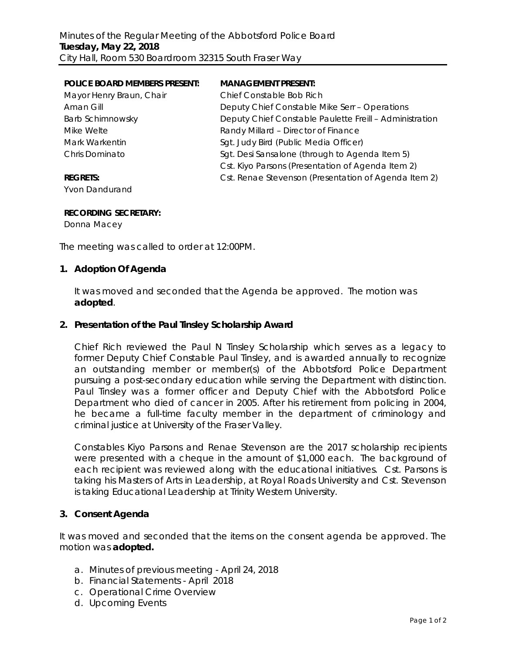| <b>POLICE BOARD MEMBERS PRESENT:</b> | <b>MANAGEMENT PRESENT:</b>                              |
|--------------------------------------|---------------------------------------------------------|
| Mayor Henry Braun, Chair             | Chief Constable Bob Rich                                |
| Aman Gill                            | Deputy Chief Constable Mike Serr - Operations           |
| <b>Barb Schimnowsky</b>              | Deputy Chief Constable Paulette Freill - Administration |
| Mike Welte                           | Randy Millard - Director of Finance                     |
| Mark Warkentin                       | Sgt. Judy Bird (Public Media Officer)                   |
| Chris Dominato                       | Sgt. Desi Sansalone (through to Agenda Item 5)          |
|                                      | Cst. Kiyo Parsons (Presentation of Agenda Item 2)       |
| <b>REGRETS:</b>                      | Cst. Renae Stevenson (Presentation of Agenda Item 2)    |
|                                      |                                                         |

Yvon Dandurand

### **RECORDING SECRETARY:**

Donna Macey

The meeting was called to order at 12:00PM.

## **1. Adoption Of Agenda**

It was moved and seconded that the Agenda be approved. The motion was **adopted**.

### **2. Presentation of the Paul Tinsley Scholarship Award**

Chief Rich reviewed the Paul N Tinsley Scholarship which serves as a legacy to former Deputy Chief Constable Paul Tinsley, and is awarded annually to recognize an outstanding member or member(s) of the Abbotsford Police Department pursuing a post-secondary education while serving the Department with distinction. Paul Tinsley was a former officer and Deputy Chief with the Abbotsford Police Department who died of cancer in 2005. After his retirement from policing in 2004, he became a full-time faculty member in the department of criminology and criminal justice at University of the Fraser Valley.

Constables Kiyo Parsons and Renae Stevenson are the 2017 scholarship recipients were presented with a cheque in the amount of \$1,000 each. The background of each recipient was reviewed along with the educational initiatives. Cst. Parsons is taking his Masters of Arts in Leadership, at Royal Roads University and Cst. Stevenson is taking Educational Leadership at Trinity Western University.

# **3. Consent Agenda**

It was moved and seconded that the items on the consent agenda be approved. The motion was **adopted.**

- a. Minutes of previous meeting April 24, 2018
- b. Financial Statements April 2018
- c. Operational Crime Overview
- d. Upcoming Events